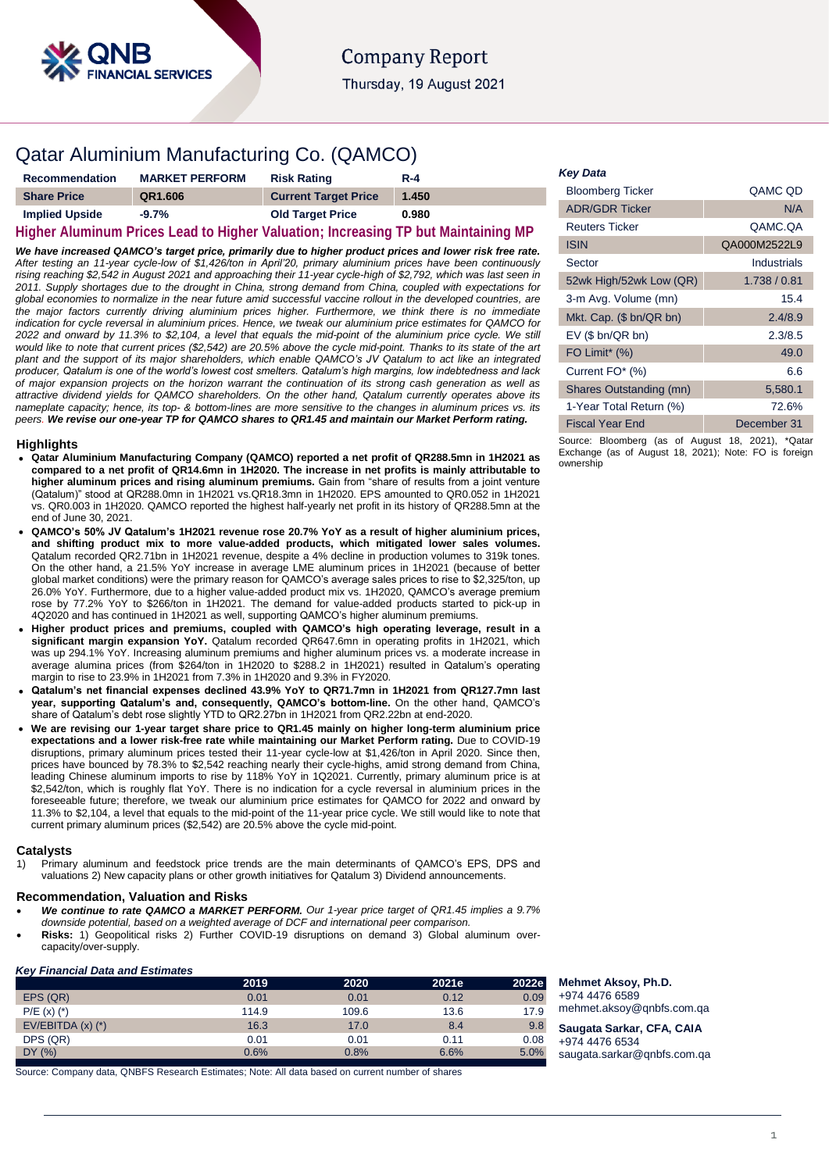

## Qatar Aluminium Manufacturing Co. (QAMCO)

| <b>Recommendation</b> | <b>MARKET PERFORM</b> | <b>Risk Rating</b>          | $R - 4$                                                                           |
|-----------------------|-----------------------|-----------------------------|-----------------------------------------------------------------------------------|
| <b>Share Price</b>    | QR1.606               | <b>Current Target Price</b> | 1.450                                                                             |
| <b>Implied Upside</b> | $-9.7%$               | <b>Old Target Price</b>     | 0.980                                                                             |
|                       |                       |                             | Higher Aluminum Prices Lead to Higher Valuation; Increasing TP but Maintaining MP |

*We have increased QAMCO's target price, primarily due to higher product prices and lower risk free rate. After testing an 11-year cycle-low of \$1,426/ton in April'20, primary aluminium prices have been continuously rising reaching \$2,542 in August 2021 and approaching their 11-year cycle-high of \$2,792, which was last seen in 2011. Supply shortages due to the drought in China, strong demand from China, coupled with expectations for global economies to normalize in the near future amid successful vaccine rollout in the developed countries, are the major factors currently driving aluminium prices higher. Furthermore, we think there is no immediate indication for cycle reversal in aluminium prices. Hence, we tweak our aluminium price estimates for QAMCO for 2022 and onward by 11.3% to \$2,104, a level that equals the mid-point of the aluminium price cycle. We still would like to note that current prices (\$2,542) are 20.5% above the cycle mid-point. Thanks to its state of the art plant and the support of its major shareholders, which enable QAMCO's JV Qatalum to act like an integrated producer, Qatalum is one of the world's lowest cost smelters. Qatalum's high margins, low indebtedness and lack of major expansion projects on the horizon warrant the continuation of its strong cash generation as well as attractive dividend yields for QAMCO shareholders. On the other hand, Qatalum currently operates above its nameplate capacity; hence, its top- & bottom-lines are more sensitive to the changes in aluminum prices vs. its peers. We revise our one-year TP for QAMCO shares to QR1.45 and maintain our Market Perform rating.*

#### **Highlights**

- **Qatar Aluminium Manufacturing Company (QAMCO) reported a net profit of QR288.5mn in 1H2021 as compared to a net profit of QR14.6mn in 1H2020. The increase in net profits is mainly attributable to higher aluminum prices and rising aluminum premiums.** Gain from "share of results from a joint venture (Qatalum)" stood at QR288.0mn in 1H2021 vs.QR18.3mn in 1H2020. EPS amounted to QR0.052 in 1H2021 vs. QR0.003 in 1H2020. QAMCO reported the highest half-yearly net profit in its history of QR288.5mn at the end of June 30, 2021.
- **QAMCO's 50% JV Qatalum's 1H2021 revenue rose 20.7% YoY as a result of higher aluminium prices, and shifting product mix to more value-added products, which mitigated lower sales volumes.**  Qatalum recorded QR2.71bn in 1H2021 revenue, despite a 4% decline in production volumes to 319k tones. On the other hand, a 21.5% YoY increase in average LME aluminum prices in 1H2021 (because of better global market conditions) were the primary reason for QAMCO's average sales prices to rise to \$2,325/ton, up 26.0% YoY. Furthermore, due to a higher value-added product mix vs. 1H2020, QAMCO's average premium rose by 77.2% YoY to \$266/ton in 1H2021. The demand for value-added products started to pick-up in 4Q2020 and has continued in 1H2021 as well, supporting QAMCO's higher aluminum premiums.
- **Higher product prices and premiums, coupled with QAMCO's high operating leverage, result in a significant margin expansion YoY.** Qatalum recorded QR647.6mn in operating profits in 1H2021, which was up 294.1% YoY. Increasing aluminum premiums and higher aluminum prices vs. a moderate increase in average alumina prices (from \$264/ton in 1H2020 to \$288.2 in 1H2021) resulted in Qatalum's operating margin to rise to 23.9% in 1H2021 from 7.3% in 1H2020 and 9.3% in FY2020.
- **Qatalum's net financial expenses declined 43.9% YoY to QR71.7mn in 1H2021 from QR127.7mn last year, supporting Qatalum's and, consequently, QAMCO's bottom-line.** On the other hand, QAMCO's share of Qatalum's debt rose slightly YTD to QR2.27bn in 1H2021 from QR2.22bn at end-2020.
- **We are revising our 1-year target share price to QR1.45 mainly on higher long-term aluminium price expectations and a lower risk-free rate while maintaining our Market Perform rating.** Due to COVID-19 disruptions, primary aluminum prices tested their 11-year cycle-low at \$1,426/ton in April 2020. Since then, prices have bounced by 78.3% to \$2,542 reaching nearly their cycle-highs, amid strong demand from China, leading Chinese aluminum imports to rise by 118% YoY in 1Q2021. Currently, primary aluminum price is at \$2,542/ton, which is roughly flat YoY. There is no indication for a cycle reversal in aluminium prices in the foreseeable future; therefore, we tweak our aluminium price estimates for QAMCO for 2022 and onward by 11.3% to \$2,104, a level that equals to the mid-point of the 11-year price cycle. We still would like to note that current primary aluminum prices (\$2,542) are 20.5% above the cycle mid-point.

#### **Catalysts**

1) Primary aluminum and feedstock price trends are the main determinants of QAMCO's EPS, DPS and valuations 2) New capacity plans or other growth initiatives for Qatalum 3) Dividend announcements.

### **Recommendation, Valuation and Risks**

- *We continue to rate QAMCO a MARKET PERFORM. Our 1-year price target of QR1.45 implies a 9.7% downside potential, based on a weighted average of DCF and international peer comparison.*
- **Risks:** 1) Geopolitical risks 2) Further COVID-19 disruptions on demand 3) Global aluminum overcapacity/over-supply.

### *Key Financial Data and Estimates*

|                      | 2019  | 2020  | 2021e | 2022e |
|----------------------|-------|-------|-------|-------|
| EPS (QR)             | 0.01  | 0.01  | 0.12  | 0.09  |
| $P/E(x)$ $(*)$       | 114.9 | 109.6 | 13.6  | 17.9  |
| $EV/EBITDA(x)$ $(*)$ | 16.3  | 17.0  | 8.4   | 9.8   |
| DPS (QR)             | 0.01  | 0.01  | 0.11  | 0.08  |
| DY(%)                | 0.6%  | 0.8%  | 6.6%  | 5.0%  |

Source: Company data, QNBFS Research Estimates; Note: All data based on current number of shares

### *Key Data*

| <b>Bloomberg Ticker</b> | QAMC OD      |
|-------------------------|--------------|
| <b>ADR/GDR Ticker</b>   | N/A          |
| <b>Reuters Ticker</b>   | QAMC.QA      |
| ISIN                    | QA000M2522L9 |
| Sector                  | Industrials  |
| 52wk High/52wk Low (QR) | 1.738 / 0.81 |
| 3-m Avg. Volume (mn)    | 15.4         |
| Mkt. Cap. (\$ bn/QR bn) | 2.4/8.9      |
| $EV$ (\$ bn/QR bn)      | 2.3/8.5      |
| FO Limit* (%)           | 49.0         |
| Current FO* (%)         | 6.6          |
| Shares Outstanding (mn) | 5,580.1      |
| 1-Year Total Return (%) | 72.6%        |
| Fiscal Year End         | December 31  |

Source: Bloomberg (as of August 18, 2021), \*Qatar Exchange (as of August 18, 2021); Note: FO is foreign ownership

**Mehmet Aksoy, Ph.D.** +974 4476 6589 mehmet.aksoy@qnbfs.com.qa

**Saugata Sarkar, CFA, CAIA** +974 4476 6534 [saugata.sarkar@qnbfs.com.qa](mailto:saugata.sarkar@qnbfs.com.qa)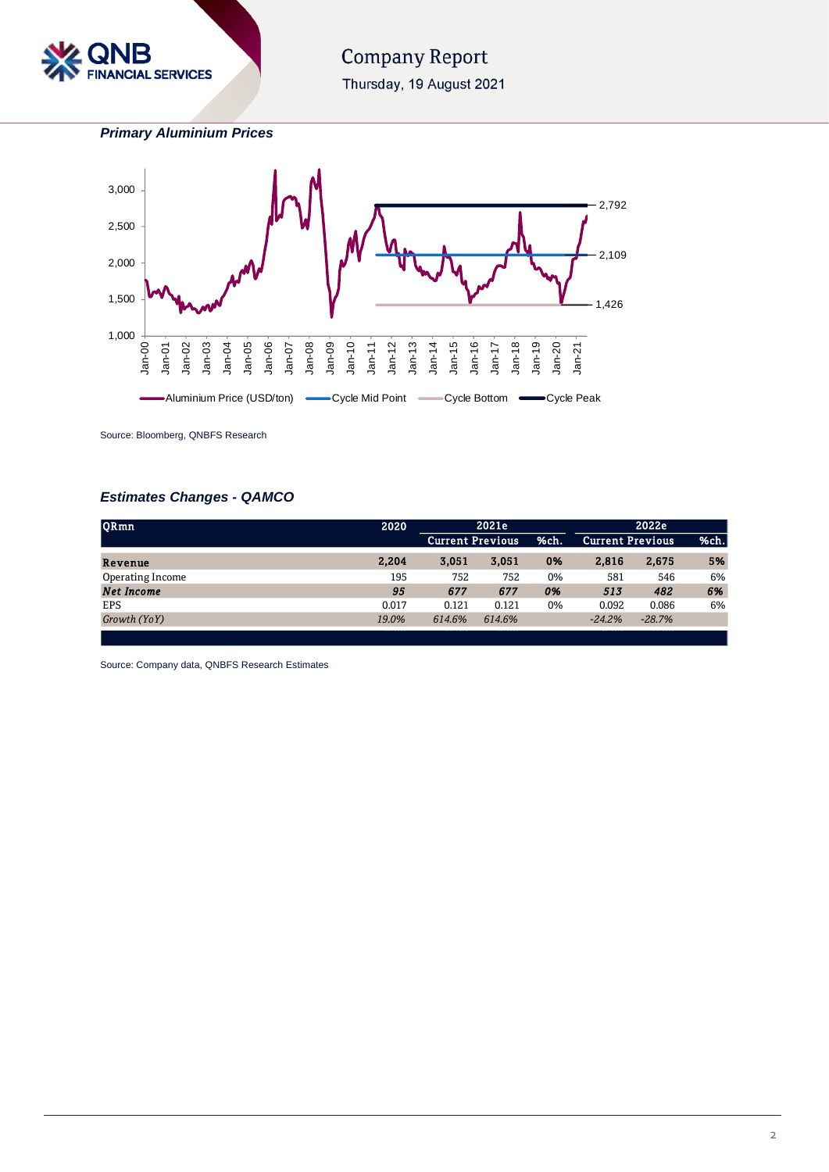

# **Company Report**

Thursday, 19 August 2021

*Primary Aluminium Prices*



Source: Bloomberg, QNBFS Research

## *Estimates Changes - QAMCO*

| <b>ORmn</b>       | 2020  | 2021e<br>2022e          |        |      |          |                         |      |
|-------------------|-------|-------------------------|--------|------|----------|-------------------------|------|
|                   |       | <b>Current Previous</b> |        | %ch. |          | <b>Current Previous</b> | %ch. |
| Revenue           | 2.204 | 3.051                   | 3.051  | 0%   | 2,816    | 2,675                   | 5%   |
| Operating Income  | 195   | 752                     | 752    | 0%   | 581      | 546                     | 6%   |
| <b>Net Income</b> | 95    | 677                     | 677    | 0%   | 513      | 482                     | 6%   |
| <b>EPS</b>        | 0.017 | 0.121                   | 0.121  | 0%   | 0.092    | 0.086                   | 6%   |
| Growth (YoY)      | 19.0% | 614.6%                  | 614.6% |      | $-24.2%$ | $-28.7%$                |      |
|                   |       |                         |        |      |          |                         |      |

Source: Company data, QNBFS Research Estimates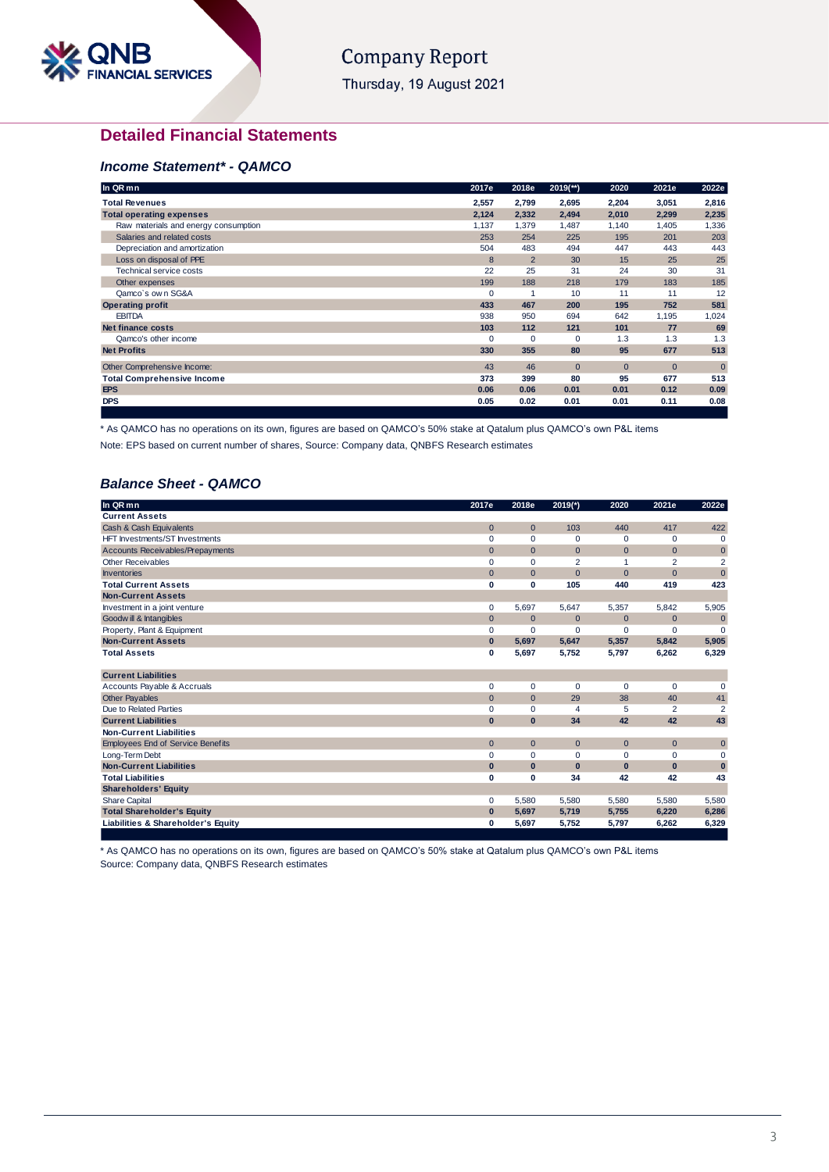

# **Company Report**

Thursday, 19 August 2021

## **Detailed Financial Statements**

## *Income Statement\* - QAMCO*

| In QR mn                             | 2017e       | 2018e          | $2019$ <sup>**</sup> ) | 2020           | 2021e        | 2022e          |
|--------------------------------------|-------------|----------------|------------------------|----------------|--------------|----------------|
| <b>Total Revenues</b>                | 2,557       | 2,799          | 2,695                  | 2,204          | 3,051        | 2,816          |
| <b>Total operating expenses</b>      | 2,124       | 2,332          | 2,494                  | 2,010          | 2,299        | 2,235          |
| Raw materials and energy consumption | 1,137       | 1,379          | 1,487                  | 1,140          | 1,405        | 1,336          |
| Salaries and related costs           | 253         | 254            | 225                    | 195            | 201          | 203            |
| Depreciation and amortization        | 504         | 483            | 494                    | 447            | 443          | 443            |
| Loss on disposal of PPE              | 8           | $\overline{2}$ | 30                     | 15             | 25           | 25             |
| Technical service costs              | 22          | 25             | 31                     | 24             | 30           | 31             |
| Other expenses                       | 199         | 188            | 218                    | 179            | 183          | 185            |
| Qamco's own SG&A                     | $\mathbf 0$ |                | 10                     | 11             | 11           | 12             |
| <b>Operating profit</b>              | 433         | 467            | 200                    | 195            | 752          | 581            |
| <b>EBITDA</b>                        | 938         | 950            | 694                    | 642            | 1,195        | 1,024          |
| <b>Net finance costs</b>             | 103         | 112            | 121                    | 101            | 77           | 69             |
| Qamco's other income                 | 0           | 0              | $\Omega$               | 1.3            | 1.3          | 1.3            |
| <b>Net Profits</b>                   | 330         | 355            | 80                     | 95             | 677          | 513            |
| Other Comprehensive Income:          | 43          | 46             | $\mathbf{0}$           | $\overline{0}$ | $\mathbf{0}$ | $\overline{0}$ |
| <b>Total Comprehensive Income</b>    | 373         | 399            | 80                     | 95             | 677          | 513            |
| <b>EPS</b>                           | 0.06        | 0.06           | 0.01                   | 0.01           | 0.12         | 0.09           |
| <b>DPS</b>                           | 0.05        | 0.02           | 0.01                   | 0.01           | 0.11         | 0.08           |

\* As QAMCO has no operations on its own, figures are based on QAMCO's 50% stake at Qatalum plus QAMCO's own P&L items

Note: EPS based on current number of shares, Source: Company data, QNBFS Research estimates

## *Balance Sheet - QAMCO*

| In QR mn                                 | 2017e        | 2018e        | $2019(*)$      | 2020           | 2021e          | 2022e          |
|------------------------------------------|--------------|--------------|----------------|----------------|----------------|----------------|
| <b>Current Assets</b>                    |              |              |                |                |                |                |
| Cash & Cash Equivalents                  | $\mathbf{0}$ | $\mathbf{0}$ | 103            | 440            | 417            | 422            |
| HFT Investments/ST Investments           | $\mathbf 0$  | $\Omega$     | $\mathbf 0$    | $\mathbf 0$    | 0              | $\mathbf 0$    |
| <b>Accounts Receivables/Prepayments</b>  | $\mathbf{0}$ | $\mathbf{0}$ | $\mathbf{0}$   | $\mathbf{0}$   | $\mathbf 0$    | $\mathbf 0$    |
| Other Receivables                        | $\mathbf 0$  | $\Omega$     | $\overline{2}$ | $\mathbf{1}$   | $\overline{2}$ | $\overline{2}$ |
| <b>Inventories</b>                       | $\mathbf{0}$ | $\mathbf{0}$ | $\mathbf{0}$   | $\overline{0}$ | $\overline{0}$ | $\mathbf 0$    |
| <b>Total Current Assets</b>              | $\mathbf 0$  | 0            | 105            | 440            | 419            | 423            |
| <b>Non-Current Assets</b>                |              |              |                |                |                |                |
| Investment in a joint venture            | 0            | 5.697        | 5,647          | 5,357          | 5,842          | 5,905          |
| Goodw ill & Intangibles                  | $\mathbf{0}$ | $\mathbf{0}$ | $\mathbf{0}$   | $\mathbf{0}$   | $\mathbf{0}$   | $\mathbf 0$    |
| Property, Plant & Equipment              | $\mathbf 0$  | $\Omega$     | $\Omega$       | $\Omega$       | $\Omega$       | $\Omega$       |
| <b>Non-Current Assets</b>                | $\bf{0}$     | 5.697        | 5,647          | 5,357          | 5,842          | 5,905          |
| <b>Total Assets</b>                      | $\mathbf 0$  | 5,697        | 5,752          | 5,797          | 6,262          | 6,329          |
| <b>Current Liabilities</b>               |              |              |                |                |                |                |
| Accounts Payable & Accruals              | $\mathbf 0$  | 0            | $\mathbf 0$    | $\mathbf 0$    | $\mathbf 0$    | $\mathbf 0$    |
| <b>Other Payables</b>                    | $\mathbf{0}$ | $\mathbf{0}$ | 29             | 38             | 40             | 41             |
| Due to Related Parties                   | $\mathbf 0$  | $\Omega$     | 4              | 5              | 2              | $\overline{2}$ |
| <b>Current Liabilities</b>               | $\bf{0}$     | $\mathbf{0}$ | 34             | 42             | 42             | 43             |
| <b>Non-Current Liabilities</b>           |              |              |                |                |                |                |
| <b>Employees End of Service Benefits</b> | $\mathbf 0$  | $\mathbf{0}$ | $\mathbf{0}$   | $\mathbf{0}$   | $\mathbf 0$    | $\pmb{0}$      |
| Long-Term Debt                           | $\mathbf 0$  | 0            | $\mathbf 0$    | $\mathbf 0$    | 0              | $\mathbf 0$    |
| <b>Non-Current Liabilities</b>           | $\bf{0}$     | $\bf{0}$     | $\mathbf{0}$   | $\bf{0}$       | $\bf{0}$       | $\bf{0}$       |
| <b>Total Liabilities</b>                 | $\mathbf 0$  | 0            | 34             | 42             | 42             | 43             |
| <b>Shareholders' Equity</b>              |              |              |                |                |                |                |
| <b>Share Capital</b>                     | $\mathbf 0$  | 5,580        | 5,580          | 5,580          | 5,580          | 5,580          |
| <b>Total Shareholder's Equity</b>        | $\bf{0}$     | 5,697        | 5,719          | 5,755          | 6,220          | 6,286          |
| Liabilities & Shareholder's Equity       | $\mathbf 0$  | 5,697        | 5,752          | 5,797          | 6,262          | 6,329          |
|                                          |              |              |                |                |                |                |

\* As QAMCO has no operations on its own, figures are based on QAMCO's 50% stake at Qatalum plus QAMCO's own P&L items Source: Company data, QNBFS Research estimates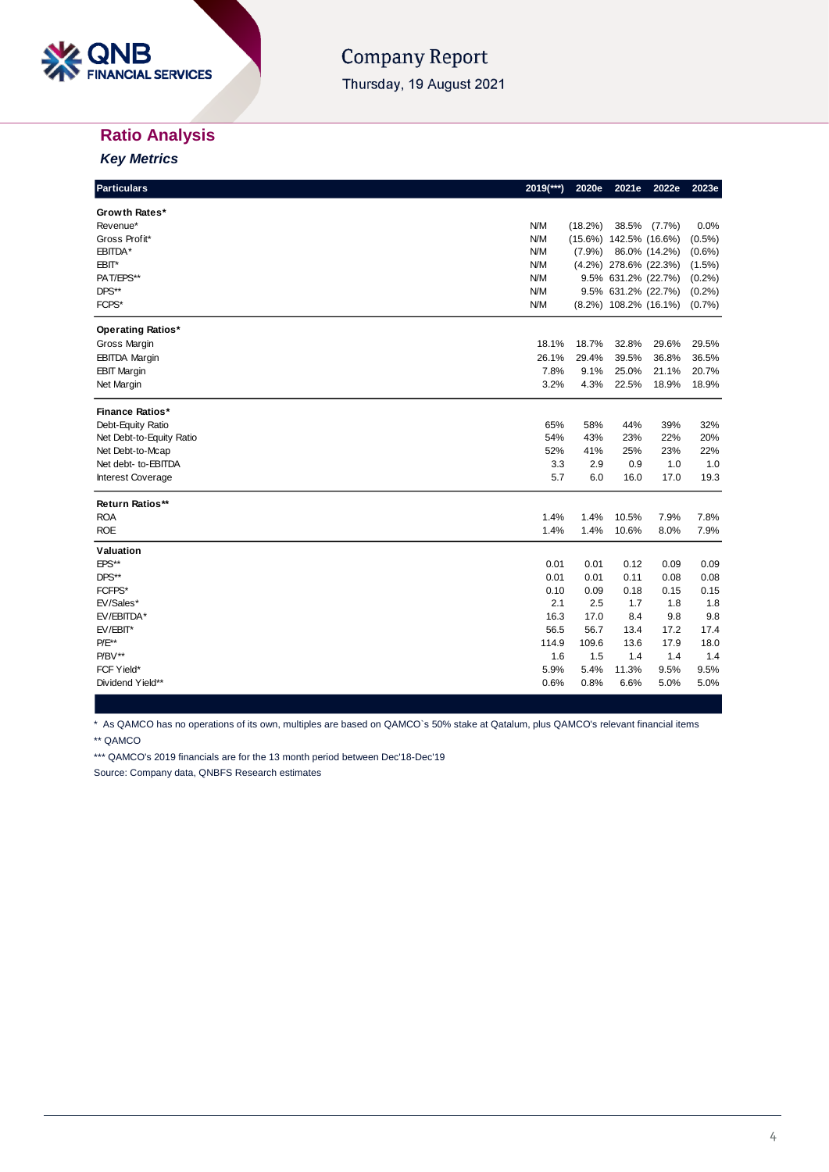

## **Company Report**

Thursday, 19 August 2021

## **Ratio Analysis**

*Key Metrics*

| <b>Particulars</b>       | 2019(***)  | 2020e      | 2021e                       | 2022e         | 2023e     |
|--------------------------|------------|------------|-----------------------------|---------------|-----------|
| Growth Rates*            |            |            |                             |               |           |
| Revenue*                 | <b>N/M</b> | $(18.2\%)$ | 38.5%                       | $(7.7\%)$     | 0.0%      |
| Gross Profit*            | <b>N/M</b> | $(15.6\%)$ | 142.5% (16.6%)              |               | $(0.5\%)$ |
| EBITDA*                  | <b>N/M</b> | (7.9%)     |                             | 86.0% (14.2%) | $(0.6\%)$ |
| EBIT*                    | <b>N/M</b> |            | $(4.2\%)$ 278.6% (22.3%)    |               | $(1.5\%)$ |
| PAT/EPS**                | <b>N/M</b> |            | 9.5% 631.2% (22.7%)         |               | (0.2%)    |
| DPS**                    | <b>N/M</b> |            | 9.5% 631.2% (22.7%)         |               | (0.2%)    |
| FCPS*                    | <b>N/M</b> |            | $(8.2\%)$ 108.2% $(16.1\%)$ |               | (0.7%     |
| <b>Operating Ratios*</b> |            |            |                             |               |           |
| Gross Margin             | 18.1%      | 18.7%      | 32.8%                       | 29.6%         | 29.5%     |
| <b>EBITDA Margin</b>     | 26.1%      | 29.4%      | 39.5%                       | 36.8%         | 36.5%     |
| <b>EBIT Margin</b>       | 7.8%       | 9.1%       | 25.0%                       | 21.1%         | 20.7%     |
| Net Margin               | 3.2%       | 4.3%       | 22.5%                       | 18.9%         | 18.9%     |
| <b>Finance Ratios*</b>   |            |            |                             |               |           |
| Debt-Equity Ratio        | 65%        | 58%        | 44%                         | 39%           | 32%       |
| Net Debt-to-Equity Ratio | 54%        | 43%        | 23%                         | 22%           | 20%       |
| Net Debt-to-Mcap         | 52%        | 41%        | 25%                         | 23%           | 22%       |
| Net debt- to-EBITDA      | 3.3        | 2.9        | 0.9                         | 1.0           | 1.0       |
| <b>Interest Coverage</b> | 5.7        | 6.0        | 16.0                        | 17.0          | 19.3      |
| Return Ratios**          |            |            |                             |               |           |
| <b>ROA</b>               | 1.4%       | 1.4%       | 10.5%                       | 7.9%          | 7.8%      |
| <b>ROE</b>               | 1.4%       | 1.4%       | 10.6%                       | 8.0%          | 7.9%      |
| Valuation                |            |            |                             |               |           |
| EPS**                    | 0.01       | 0.01       | 0.12                        | 0.09          | 0.09      |
| DPS**                    | 0.01       | 0.01       | 0.11                        | 0.08          | 0.08      |
| FCFPS*                   | 0.10       | 0.09       | 0.18                        | 0.15          | 0.15      |
| EV/Sales*                | 2.1        | 2.5        | 1.7                         | 1.8           | 1.8       |
| EV/EBITDA*               | 16.3       | 17.0       | 8.4                         | 9.8           | 9.8       |
| EV/EBIT*                 | 56.5       | 56.7       | 13.4                        | 17.2          | 17.4      |
| $P/E^{**}$               | 114.9      | 109.6      | 13.6                        | 17.9          | 18.0      |
| $P/BV**$                 | 1.6        | 1.5        | 1.4                         | 1.4           | 1.4       |
| FCF Yield*               | 5.9%       | 5.4%       | 11.3%                       | 9.5%          | 9.5%      |
| Dividend Yield**         | 0.6%       | 0.8%       | 6.6%                        | 5.0%          | 5.0%      |

\* As QAMCO has no operations of its own, multiples are based on QAMCO`s 50% stake at Qatalum, plus QAMCO's relevant financial items

\*\* QAMCO

\*\*\* QAMCO's 2019 financials are for the 13 month period between Dec'18-Dec'19

Source: Company data, QNBFS Research estimates